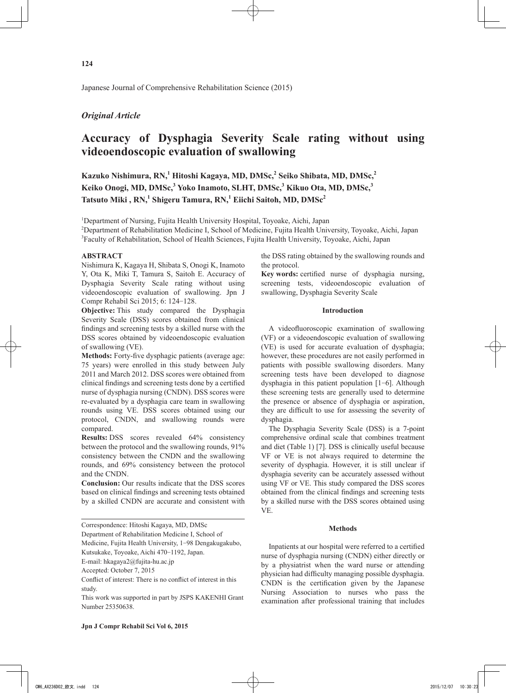Japanese Journal of Comprehensive Rehabilitation Science (2015)

# *Original Article*

# **Accuracy of Dysphagia Severity Scale rating without using videoendoscopic evaluation of swallowing**

**Kazuko Nishimura, RN,<sup>1</sup> Hitoshi Kagaya, MD, DMSc,2 Seiko Shibata, MD, DMSc,<sup>2</sup> Keiko Onogi, MD, DMSc,3 Yoko Inamoto, SLHT, DMSc,<sup>3</sup> Kikuo Ota, MD, DMSc,3 Tatsuto Miki , RN,<sup>1</sup> Shigeru Tamura, RN,<sup>1</sup> Eiichi Saitoh, MD, DMSc2**

<sup>1</sup>Department of Nursing, Fujita Health University Hospital, Toyoake, Aichi, Japan

2 Department of Rehabilitation Medicine I, School of Medicine, Fujita Health University, Toyoake, Aichi, Japan 3 Faculty of Rehabilitation, School of Health Sciences, Fujita Health University, Toyoake, Aichi, Japan

### **ABSTRACT**

Nishimura K, Kagaya H, Shibata S, Onogi K, Inamoto Y, Ota K, Miki T, Tamura S, Saitoh E. Accuracy of Dysphagia Severity Scale rating without using videoendoscopic evaluation of swallowing. Jpn J Compr Rehabil Sci 2015; 6: 124-128.

**Objective:** This study compared the Dysphagia Severity Scale (DSS) scores obtained from clinical findings and screening tests by a skilled nurse with the DSS scores obtained by videoendoscopic evaluation of swallowing (VE).

**Methods:** Forty-five dysphagic patients (average age: 75 years) were enrolled in this study between July 2011 and March 2012. DSS scores were obtained from clinical findings and screening tests done by a certified nurse of dysphagia nursing (CNDN). DSS scores were re-evaluated by a dysphagia care team in swallowing rounds using VE. DSS scores obtained using our protocol, CNDN, and swallowing rounds were compared.

**Results:** DSS scores revealed 64% consistency between the protocol and the swallowing rounds, 91% consistency between the CNDN and the swallowing rounds, and 69% consistency between the protocol and the CNDN.

**Conclusion:** Our results indicate that the DSS scores based on clinical findings and screening tests obtained by a skilled CNDN are accurate and consistent with

Department of Rehabilitation Medicine I, School of

Medicine, Fujita Health University, 1-98 Dengakugakubo,

Kutsukake, Toyoake, Aichi 470-1192, Japan.

E-mail: hkagaya2@fujita-hu.ac.jp

Accepted: October 7, 2015

Conflict of interest: There is no conflict of interest in this study.

This work was supported in part by JSPS KAKENHI Grant Number 25350638.

the DSS rating obtained by the swallowing rounds and the protocol.

**Key words:** certified nurse of dysphagia nursing, screening tests, videoendoscopic evaluation of swallowing, Dysphagia Severity Scale

#### **Introduction**

A videofluoroscopic examination of swallowing (VF) or a videoendoscopic evaluation of swallowing (VE) is used for accurate evaluation of dysphagia; however, these procedures are not easily performed in patients with possible swallowing disorders. Many screening tests have been developed to diagnose dysphagia in this patient population [1-6]. Although these screening tests are generally used to determine the presence or absence of dysphagia or aspiration, they are difficult to use for assessing the severity of dysphagia.

The Dysphagia Severity Scale (DSS) is a 7-point comprehensive ordinal scale that combines treatment and diet (Table 1) [7]. DSS is clinically useful because VF or VE is not always required to determine the severity of dysphagia. However, it is still unclear if dysphagia severity can be accurately assessed without using VF or VE. This study compared the DSS scores obtained from the clinical findings and screening tests by a skilled nurse with the DSS scores obtained using VE.

#### **Methods**

Inpatients at our hospital were referred to a certified nurse of dysphagia nursing (CNDN) either directly or by a physiatrist when the ward nurse or attending physician had difficulty managing possible dysphagia. CNDN is the certification given by the Japanese Nursing Association to nurses who pass the examination after professional training that includes

Correspondence: Hitoshi Kagaya, MD, DMSc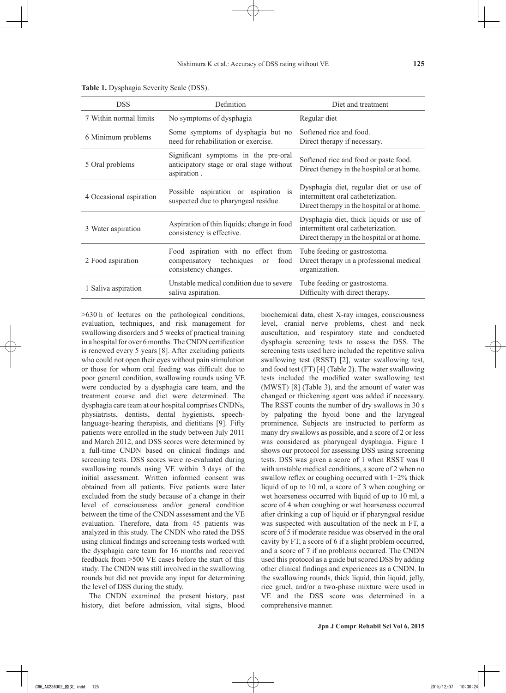| <b>DSS</b>              | Definition                                                                                                      | Diet and treatment                                                                                                          |
|-------------------------|-----------------------------------------------------------------------------------------------------------------|-----------------------------------------------------------------------------------------------------------------------------|
| 7 Within normal limits  | No symptoms of dysphagia                                                                                        | Regular diet                                                                                                                |
| 6 Minimum problems      | Some symptoms of dysphagia but no<br>need for rehabilitation or exercise.                                       | Softened rice and food.<br>Direct therapy if necessary.                                                                     |
| 5 Oral problems         | Significant symptoms in the pre-oral<br>anticipatory stage or oral stage without<br>aspiration.                 | Softened rice and food or paste food.<br>Direct therapy in the hospital or at home.                                         |
| 4 Occasional aspiration | Possible aspiration or aspiration is<br>suspected due to pharyngeal residue.                                    | Dysphagia diet, regular diet or use of<br>intermittent oral catheterization.<br>Direct therapy in the hospital or at home.  |
| 3 Water aspiration      | Aspiration of thin liquids; change in food<br>consistency is effective.                                         | Dysphagia diet, thick liquids or use of<br>intermittent oral catheterization.<br>Direct therapy in the hospital or at home. |
| 2 Food aspiration       | Food aspiration with no effect from<br>compensatory techniques<br>food<br><sub>or</sub><br>consistency changes. | Tube feeding or gastrostoma.<br>Direct therapy in a professional medical<br>organization.                                   |
| 1 Saliva aspiration     | Unstable medical condition due to severe<br>saliva aspiration.                                                  | Tube feeding or gastrostoma.<br>Difficulty with direct therapy.                                                             |

**Table 1.** Dysphagia Severity Scale (DSS).

>630 h of lectures on the pathological conditions, evaluation, techniques, and risk management for swallowing disorders and 5 weeks of practical training in a hospital for over 6 months. The CNDN certification is renewed every 5 years [8]. After excluding patients who could not open their eyes without pain stimulation or those for whom oral feeding was difficult due to poor general condition, swallowing rounds using VE were conducted by a dysphagia care team, and the treatment course and diet were determined. The dysphagia care team at our hospital comprises CNDNs, physiatrists, dentists, dental hygienists, speechlanguage-hearing therapists, and dietitians [9]. Fifty patients were enrolled in the study between July 2011 and March 2012, and DSS scores were determined by a full-time CNDN based on clinical findings and screening tests. DSS scores were re-evaluated during swallowing rounds using VE within 3 days of the initial assessment. Written informed consent was obtained from all patients. Five patients were later excluded from the study because of a change in their level of consciousness and/or general condition between the time of the CNDN assessment and the VE evaluation. Therefore, data from 45 patients was analyzed in this study. The CNDN who rated the DSS using clinical findings and screening tests worked with the dysphagia care team for 16 months and received feedback from >500 VE cases before the start of this study. The CNDN was still involved in the swallowing rounds but did not provide any input for determining the level of DSS during the study.

The CNDN examined the present history, past history, diet before admission, vital signs, blood biochemical data, chest X-ray images, consciousness level, cranial nerve problems, chest and neck auscultation, and respiratory state and conducted dysphagia screening tests to assess the DSS. The screening tests used here included the repetitive saliva swallowing test (RSST) [2], water swallowing test, and food test (FT) [4] (Table 2). The water swallowing tests included the modified water swallowing test (MWST) [8] (Table 3), and the amount of water was changed or thickening agent was added if necessary. The RSST counts the number of dry swallows in 30 s by palpating the hyoid bone and the laryngeal prominence. Subjects are instructed to perform as many dry swallows as possible, and a score of 2 or less was considered as pharyngeal dysphagia. Figure 1 shows our protocol for assessing DSS using screening tests. DSS was given a score of 1 when RSST was 0 with unstable medical conditions, a score of 2 when no swallow reflex or coughing occurred with 1-2% thick liquid of up to 10 ml, a score of 3 when coughing or wet hoarseness occurred with liquid of up to 10 ml, a score of 4 when coughing or wet hoarseness occurred after drinking a cup of liquid or if pharyngeal residue was suspected with auscultation of the neck in FT, a score of 5 if moderate residue was observed in the oral cavity by FT, a score of 6 if a slight problem occurred, and a score of 7 if no problems occurred. The CNDN used this protocol as a guide but scored DSS by adding other clinical findings and experiences as a CNDN. In the swallowing rounds, thick liquid, thin liquid, jelly, rice gruel, and/or a two-phase mixture were used in VE and the DSS score was determined in a comprehensive manner.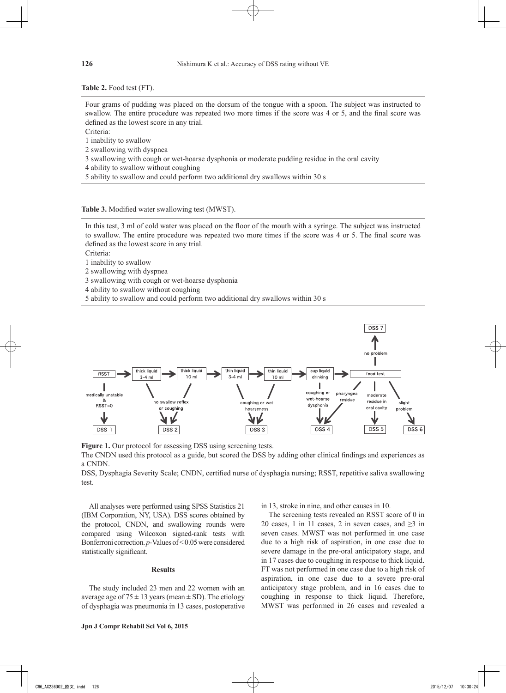**Table 2.** Food test (FT).

Four grams of pudding was placed on the dorsum of the tongue with a spoon. The subject was instructed to swallow. The entire procedure was repeated two more times if the score was 4 or 5, and the final score was defined as the lowest score in any trial.

Criteria:

1 inability to swallow

2 swallowing with dyspnea

3 swallowing with cough or wet-hoarse dysphonia or moderate pudding residue in the oral cavity

4 ability to swallow without coughing

5 ability to swallow and could perform two additional dry swallows within 30 s

**Table 3.** Modified water swallowing test (MWST).

In this test, 3 ml of cold water was placed on the floor of the mouth with a syringe. The subject was instructed to swallow. The entire procedure was repeated two more times if the score was 4 or 5. The final score was defined as the lowest score in any trial.

Criteria:

1 inability to swallow

2 swallowing with dyspnea

3 swallowing with cough or wet-hoarse dysphonia

4 ability to swallow without coughing

5 ability to swallow and could perform two additional dry swallows within 30 s



**Figure 1.** Our protocol for assessing DSS using screening tests.

The CNDN used this protocol as a guide, but scored the DSS by adding other clinical findings and experiences as a CNDN.

DSS, Dysphagia Severity Scale; CNDN, certified nurse of dysphagia nursing; RSST, repetitive saliva swallowing test.

All analyses were performed using SPSS Statistics 21 (IBM Corporation, NY, USA). DSS scores obtained by the protocol, CNDN, and swallowing rounds were compared using Wilcoxon signed-rank tests with Bonferroni correction. *p*-Values of <0.05 were considered statistically significant.

## **Results**

The study included 23 men and 22 women with an average age of  $75 \pm 13$  years (mean  $\pm$  SD). The etiology of dysphagia was pneumonia in 13 cases, postoperative in 13, stroke in nine, and other causes in 10.

The screening tests revealed an RSST score of 0 in 20 cases, 1 in 11 cases, 2 in seven cases, and  $\geq$ 3 in seven cases. MWST was not performed in one case due to a high risk of aspiration, in one case due to severe damage in the pre-oral anticipatory stage, and in 17 cases due to coughing in response to thick liquid. FT was not performed in one case due to a high risk of aspiration, in one case due to a severe pre-oral anticipatory stage problem, and in 16 cases due to coughing in response to thick liquid. Therefore, MWST was performed in 26 cases and revealed a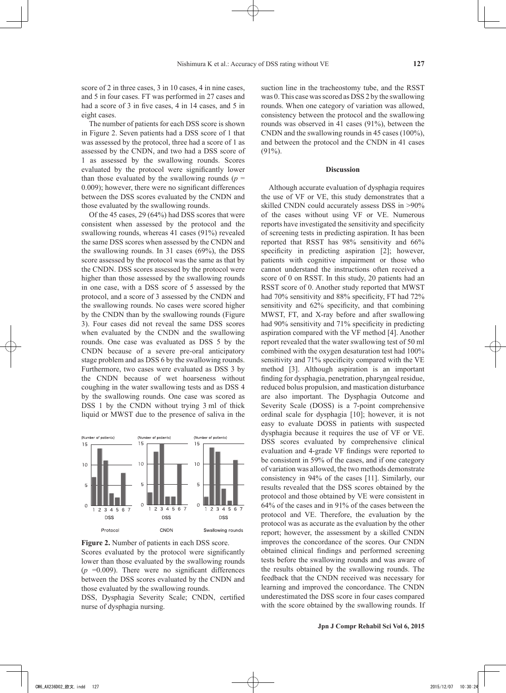score of 2 in three cases, 3 in 10 cases, 4 in nine cases, and 5 in four cases. FT was performed in 27 cases and had a score of 3 in five cases, 4 in 14 cases, and 5 in eight cases.

The number of patients for each DSS score is shown in Figure 2. Seven patients had a DSS score of 1 that was assessed by the protocol, three had a score of 1 as assessed by the CNDN, and two had a DSS score of 1 as assessed by the swallowing rounds. Scores evaluated by the protocol were significantly lower than those evaluated by the swallowing rounds ( $p =$ 0.009); however, there were no significant differences between the DSS scores evaluated by the CNDN and those evaluated by the swallowing rounds.

Of the 45 cases, 29 (64%) had DSS scores that were consistent when assessed by the protocol and the swallowing rounds, whereas 41 cases (91%) revealed the same DSS scores when assessed by the CNDN and the swallowing rounds. In 31 cases (69%), the DSS score assessed by the protocol was the same as that by the CNDN. DSS scores assessed by the protocol were higher than those assessed by the swallowing rounds in one case, with a DSS score of 5 assessed by the protocol, and a score of 3 assessed by the CNDN and the swallowing rounds. No cases were scored higher by the CNDN than by the swallowing rounds (Figure 3). Four cases did not reveal the same DSS scores when evaluated by the CNDN and the swallowing rounds. One case was evaluated as DSS 5 by the CNDN because of a severe pre-oral anticipatory stage problem and as DSS 6 by the swallowing rounds. Furthermore, two cases were evaluated as DSS 3 by the CNDN because of wet hoarseness without coughing in the water swallowing tests and as DSS 4 by the swallowing rounds. One case was scored as DSS 1 by the CNDN without trying 3 ml of thick liquid or MWST due to the presence of saliva in the



**Figure 2.** Number of patients in each DSS score. Scores evaluated by the protocol were significantly lower than those evaluated by the swallowing rounds  $(p = 0.009)$ . There were no significant differences between the DSS scores evaluated by the CNDN and those evaluated by the swallowing rounds.

DSS, Dysphagia Severity Scale; CNDN, certified nurse of dysphagia nursing.

suction line in the tracheostomy tube, and the RSST was 0. This case was scored as DSS 2 by the swallowing rounds. When one category of variation was allowed, consistency between the protocol and the swallowing rounds was observed in 41 cases (91%), between the CNDN and the swallowing rounds in 45 cases (100%), and between the protocol and the CNDN in 41 cases  $(91\%)$ .

#### **Discussion**

Although accurate evaluation of dysphagia requires the use of VF or VE, this study demonstrates that a skilled CNDN could accurately assess DSS in >90% of the cases without using VF or VE. Numerous reports have investigated the sensitivity and specificity of screening tests in predicting aspiration. It has been reported that RSST has 98% sensitivity and 66% specificity in predicting aspiration [2]; however, patients with cognitive impairment or those who cannot understand the instructions often received a score of 0 on RSST. In this study, 20 patients had an RSST score of 0. Another study reported that MWST had 70% sensitivity and 88% specificity, FT had 72% sensitivity and 62% specificity, and that combining MWST, FT, and X-ray before and after swallowing had 90% sensitivity and 71% specificity in predicting aspiration compared with the VF method [4]. Another report revealed that the water swallowing test of 50 ml combined with the oxygen desaturation test had 100% sensitivity and 71% specificity compared with the VE method [3]. Although aspiration is an important finding for dysphagia, penetration, pharyngeal residue, reduced bolus propulsion, and mastication disturbance are also important. The Dysphagia Outcome and Severity Scale (DOSS) is a 7-point comprehensive ordinal scale for dysphagia [10]; however, it is not easy to evaluate DOSS in patients with suspected dysphagia because it requires the use of VF or VE. DSS scores evaluated by comprehensive clinical evaluation and 4-grade VF findings were reported to be consistent in 59% of the cases, and if one category of variation was allowed, the two methods demonstrate consistency in 94% of the cases [11]. Similarly, our results revealed that the DSS scores obtained by the protocol and those obtained by VE were consistent in 64% of the cases and in 91% of the cases between the protocol and VE. Therefore, the evaluation by the protocol was as accurate as the evaluation by the other report; however, the assessment by a skilled CNDN improves the concordance of the scores. Our CNDN obtained clinical findings and performed screening tests before the swallowing rounds and was aware of the results obtained by the swallowing rounds. The feedback that the CNDN received was necessary for learning and improved the concordance. The CNDN underestimated the DSS score in four cases compared with the score obtained by the swallowing rounds. If